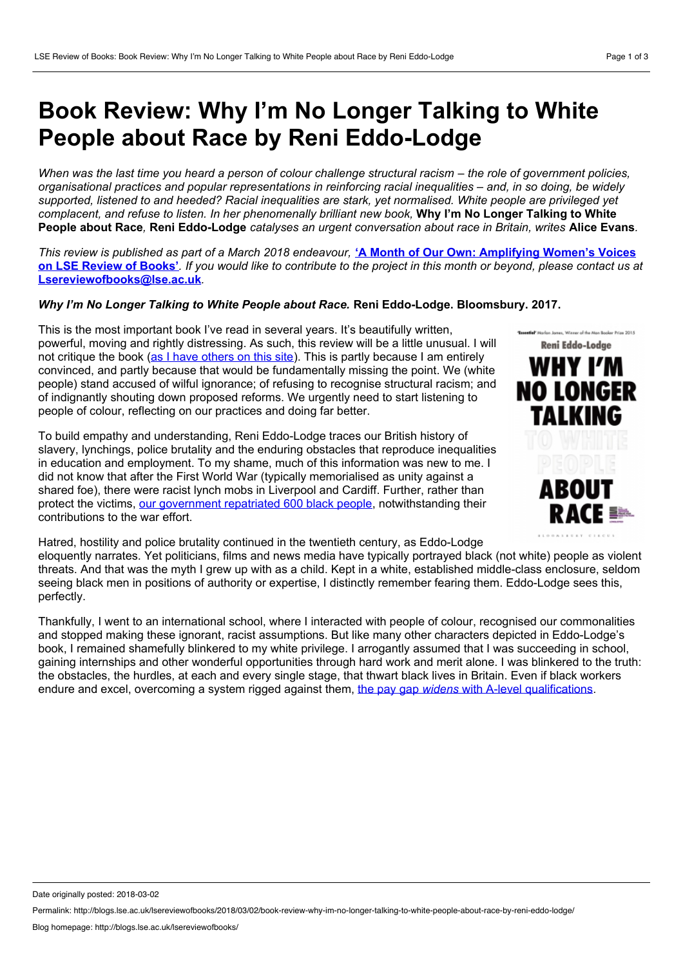## **Book Review: Why I'm No Longer Talking to White People about Race by Reni Eddo-Lodge**

When was the last time you heard a person of colour challenge structural racism – the role of government policies. *organisational practices and popular representations in reinforcing racial inequalities* – *and, in so doing, be widely* supported, listened to and heeded? Racial inequalities are stark, yet normalised. White people are privileged yet complacent, and refuse to listen. In her phenomenally brilliant new book, Why I'm No Longer Talking to White People about Race, Reni Eddo-Lodge catalyses an urgent conversation about race in Britain, writes Alice Evans.

This review is published as part of a March 2018 endeavour, 'A Month of Our Own: [Amplifying](http://blogs.lse.ac.uk/lsereviewofbooks/2018/03/01/a-month-of-our-own-amplifying-womens-voices-on-lse-review-of-books/) Women's Voices on LSE Review of Books'. If you would like to contribute to the project in this month or beyond, please contact us at **[Lsereviewofbooks@lse.ac.uk](mailto:Lsereviewofbooks@lse.ac.uk)***.*

## *Why I'm No Longer Talking to White People about Race.* **Reni Eddo-Lodge. Bloomsbury. 2017.**

This is the most important book I've read in several years. It's beautifully written, powerful, moving and rightly distressing. As such, this review will be a little unusual. I will not critique the book (as I have [others](http://blogs.lse.ac.uk/lsereviewofbooks/category/book-reviewers/alice-evans/) on this site). This is partly because I am entirely not critique the book (as I have others on this site). This is partly because I am entirely<br>convinced, and partly because that would be fundamentally missing the point. We (white WHY I'M people) stand accused of wilful ignorance; of refusing to recognise structural racism; and **NO LONGER** of indignantly shouting down proposed reforms. We urgently need to start listening to people of colour, reflecting on our practices and doing far better.

To build empathy and understanding, Reni Eddo-Lodge traces our British history of slavery, lynchings, police brutality and the enduring obstacles that reproduce inequalities in education and employment. To my shame, much of this information was new to me. I did not know that after the First World War (typically memorialised as unity against a shared foe), there were racist lynch mobs in Liverpool and Cardiff. Further, rather than protect the victims, our [government](http://www.nationalarchives.gov.uk/pathways/firstworldwar/spotlights/demobilisation.htm) repatriated 600 black people, notwithstanding their contributions to the war effort.



Hatred, hostility and police brutality continued in the twentieth century, as Eddo-Lodge

eloquently narrates. Yet politicians, films and news media have typically portrayed black (not white) people as violent threats. And that was the myth I grew up with as a child. Kept in a white, established middle-class enclosure, seldom seeing black men in positions of authority or expertise, I distinctly remember fearing them. Eddo-Lodge sees this, perfectly.

Thankfully, I went to an international school, where I interacted with people of colour, recognised our commonalities and stopped making these ignorant, racist assumptions. But like many other characters depicted in Eddo-Lodge's book, I remained shamefully blinkered to my white privilege. I arrogantly assumed that I was succeeding in school, gaining internships and other wonderful opportunities through hard work and merit alone. I was blinkered to the truth: the obstacles, the hurdles, at each and every single stage, that thwart black lives in Britain. Even if black workers endure and excel, overcoming a system rigged against them, the pay gap *widens* with A-level [qualifications.](https://www.theguardian.com/money/2016/feb/01/pay-gap-black-white-uk-workers-widens-more-qualifications)

Date originally posted: 2018-03-02

Permalink: http://blogs.lse.ac.uk/lsereviewofbooks/2018/03/02/book-review-why-im-no-longer-talking-to-white-people-about-race-by-reni-eddo-lodge/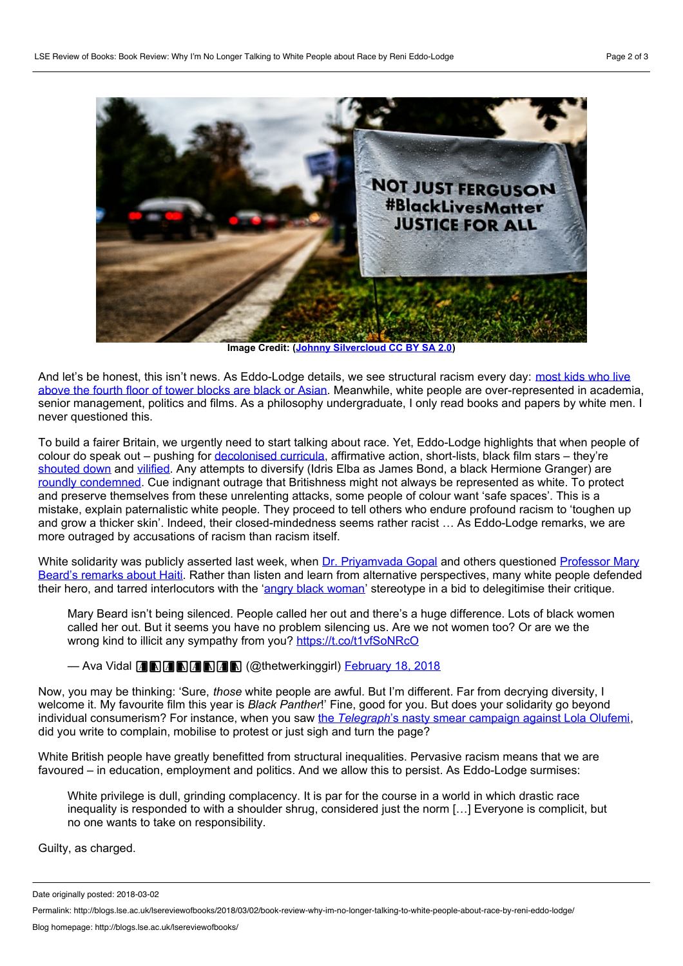

**Image Credit: (Johnny [Silvercloud](https://www.flickr.com/photos/johnnysilvercloud/15607880225) CC BY SA 2.0)**

And let's be honest, this isn't news. As Eddo-Lodge details, we see structural racism every day: most kids who live above the fourth floor of tower blocks are black or Asian. Meanwhile, white people are [over-represented](https://www.theguardian.com/commentisfree/2017/jun/16/grenfell-tower-price-britain-inequality-high-rise) in academia, senior management, politics and films. As a philosophy undergraduate, I only read books and papers by white men. I never questioned this.

To build a fairer Britain, we urgently need to start talking about race. Yet, Eddo-Lodge highlights that when people of colour do speak out – pushing for [decolonised](https://www.varsity.co.uk/comment/13261) curricula, affirmative action, short-lists, black film stars – they're [shouted](https://www.theguardian.com/inequality/2017/sep/26/employees-on-workplace-racism-under-representation-bame) down and [vilified.](http://www.huffingtonpost.co.uk/entry/telegraph-lola-olufemi_uk_59f1fe0fe4b077d8dfc7eaf9) Any attempts to diversify (Idris Elba as James Bond, a black Hermione Granger) are roundly [condemned](http://www.digitalspy.com/movies/harry-potter/news/a838563/harry-potter-artist-black-hermione-racist-backlash-anoosha-syed-jk-rowling/). Cue indignant outrage that Britishness might not always be represented as white. To protect and preserve themselves from these unrelenting attacks, some people of colour want 'safe spaces'. This is a mistake, explain paternalistic white people. They proceed to tell others who endure profound racism to 'toughen up and grow a thicker skin'. Indeed, their closed-mindedness seems rather racist … As Eddo-Lodge remarks, we are more outraged by accusations of racism than racism itself.

White solidarity was publicly asserted last week, when Dr. [Priyamvada](https://medium.com/@zen.catgirl/response-to-mary-beard-91a6cf2f53b6) Gopal and others questioned Professor Mary Beard's remarks about Haiti. Rather than listen and learn from alternative [perspectives,](https://twitter.com/wmarybeard/status/964613592833253376) many white people defended their hero, and tarred interlocutors with the 'angry black [woman](https://twitter.com/IanDunt/status/965214651020709888)' stereotype in a bid to delegitimise their critique.

Mary Beard isn't being silenced. People called her out and there's a huge difference. Lots of black women called her out. But it seems you have no problem silencing us. Are we not women too? Or are we the wrong kind to illicit any sympathy from you? https://t.co/t1yfSoNRcO

— Ava Vidal **A B A B A B A B** (@thetwerkinggirl) **[February](https://twitter.com/thetwerkinggirl/status/965302958731812866?ref_src=twsrc%5Etfw) 18, 2018** 

Now, you may be thinking: 'Sure, *those* white people are awful. But I'm different. Far from decrying diversity, I welcome it. My favourite film this year is *Black Panther*!' Fine, good for you. But does your solidarity go beyond individual consumerism? For instance, when you saw the *[Telegraph](https://www.buzzfeed.com/fionarutherford/the-telegraph-has-issued-a-correction-for-its-story-about?utm_term=.dlbjYX56X#.vpGv9GKzG)*'s nasty smear campaign against Lola Olufemi, did you write to complain, mobilise to protest or just sigh and turn the page?

White British people have greatly benefitted from structural inequalities. Pervasive racism means that we are favoured – in education, employment and politics. And we allow this to persist. As Eddo-Lodge surmises:

White privilege is dull, grinding complacency. It is par for the course in a world in which drastic race inequality is responded to with a shoulder shrug, considered just the norm […] Everyone is complicit, but no one wants to take on responsibility.

Guilty, as charged.

Date originally posted: 2018-03-02

Permalink: http://blogs.lse.ac.uk/lsereviewofbooks/2018/03/02/book-review-why-im-no-longer-talking-to-white-people-about-race-by-reni-eddo-lodge/